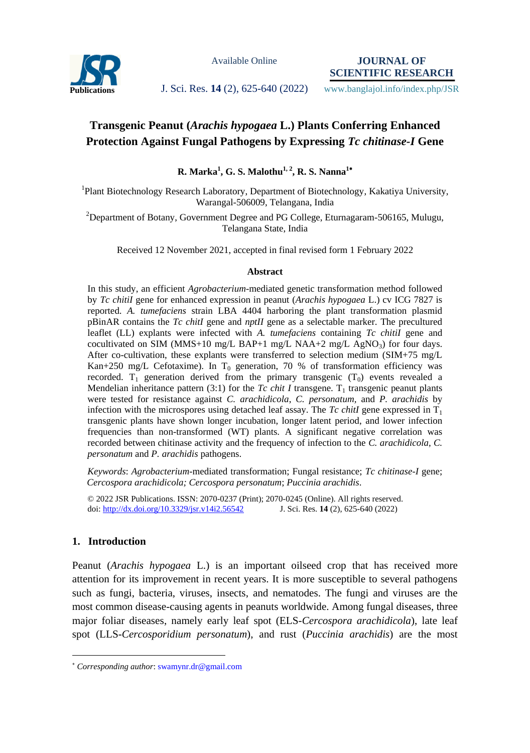

Available Online

**JOURNAL OF SCIENTIFIC RESEARCH**

Publications **J. Sci. Res. 14** (2), 625-640 (2022) www.banglajol.info/index.php/JSR

# **Transgenic Peanut (***Arachis hypogaea* **L.) Plants Conferring Enhanced Protection Against Fungal Pathogens by Expressing** *Tc chitinase-I* **Gene**

**R. Marka<sup>1</sup> , G. S. Malothu1, 2, R. S. Nanna<sup>1</sup>**

<sup>1</sup>Plant Biotechnology Research Laboratory, Department of Biotechnology, Kakatiya University, Warangal-506009, Telangana, India

<sup>2</sup>Department of Botany, Government Degree and PG College, Eturnagaram-506165, Mulugu, Telangana State, India

Received 12 November 2021, accepted in final revised form 1 February 2022

#### **Abstract**

In this study, an efficient *Agrobacterium-*mediated genetic transformation method followed by *Tc chitiI* gene for enhanced expression in peanut (*Arachis hypogaea* L.) cv ICG 7827 is reported. *A. tumefaciens* strain LBA 4404 harboring the plant transformation plasmid pBinAR contains the *Tc chitI* gene and *nptII* gene as a selectable marker. The precultured leaflet (LL) explants were infected with *A. tumefaciens* containing *Tc chitil* gene and cocultivated on SIM (MMS+10 mg/L BAP+1 mg/L NAA+2 mg/L AgNO<sub>3</sub>) for four days. After co-cultivation, these explants were transferred to selection medium (SIM+75 mg/L Kan+250 mg/L Cefotaxime). In  $T_0$  generation, 70 % of transformation efficiency was recorded.  $T_1$  generation derived from the primary transgenic  $(T_0)$  events revealed a Mendelian inheritance pattern (3:1) for the *Tc chit I* transgene. T<sub>1</sub> transgenic peanut plants were tested for resistance against *C. arachidicola*, *C. personatum,* and *P. arachidis* by infection with the microspores using detached leaf assay. The  $T_c$  chitI gene expressed in  $T_1$ transgenic plants have shown longer incubation, longer latent period, and lower infection frequencies than non-transformed (WT) plants. A significant negative correlation was recorded between chitinase activity and the frequency of infection to the *C. arachidicola*, *C. personatum* and *P. arachidis* pathogens.

*Keywords*: *Agrobacterium-*mediated transformation; Fungal resistance; *Tc chitinase-I* gene; *Cercospora arachidicola; Cercospora personatum*; *Puccinia arachidis*.

© 2022 JSR Publications. ISSN: 2070-0237 (Print); 2070-0245 (Online). All rights reserved. doi:<http://dx.doi.org/10.3329/jsr.v14i2.56542>J. Sci. Res. **14** (2), 625-640 (2022)

## **1. Introduction**

 $\overline{a}$ 

Peanut (*Arachis hypogaea* L.) is an important oilseed crop that has received more attention for its improvement in recent years. It is more susceptible to several pathogens such as fungi, bacteria, viruses, insects, and nematodes. The fungi and viruses are the most common disease-causing agents in peanuts worldwide. Among fungal diseases, three major foliar diseases, namely early leaf spot (ELS-*Cercospora arachidicola*), late leaf spot (LLS-*Cercosporidium personatum*), and rust (*Puccinia arachidis*) are the most

*Corresponding author*[: swamynr.dr@gmail.com](mailto:samirkvaidya@yahoo.co.in)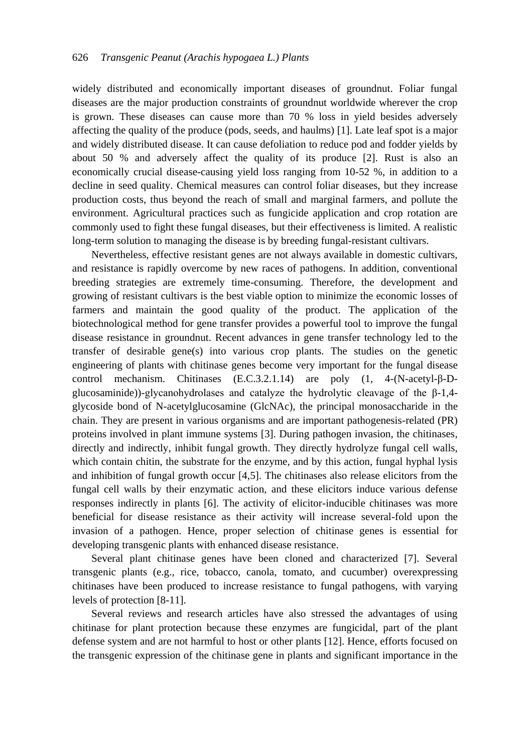widely distributed and economically important diseases of groundnut. Foliar fungal diseases are the major production constraints of groundnut worldwide wherever the crop is grown. These diseases can cause more than 70 % loss in yield besides adversely affecting the quality of the produce (pods, seeds, and haulms) [1]. Late leaf spot is a major and widely distributed disease. It can cause defoliation to reduce pod and fodder yields by about 50 % and adversely affect the quality of its produce [2]. Rust is also an economically crucial disease-causing yield loss ranging from 10-52 %, in addition to a decline in seed quality. Chemical measures can control foliar diseases, but they increase production costs, thus beyond the reach of small and marginal farmers, and pollute the environment. Agricultural practices such as fungicide application and crop rotation are commonly used to fight these fungal diseases, but their effectiveness is limited. A realistic long-term solution to managing the disease is by breeding fungal-resistant cultivars.

Nevertheless, effective resistant genes are not always available in domestic cultivars, and resistance is rapidly overcome by new races of pathogens. In addition, conventional breeding strategies are extremely time-consuming. Therefore, the development and growing of resistant cultivars is the best viable option to minimize the economic losses of farmers and maintain the good quality of the product. The application of the biotechnological method for gene transfer provides a powerful tool to improve the fungal disease resistance in groundnut. Recent advances in gene transfer technology led to the transfer of desirable gene(s) into various crop plants. The studies on the genetic engineering of plants with chitinase genes become very important for the fungal disease control mechanism. Chitinases (E.C.3.2.1.14) are poly (1, 4-(N-acetyl-β-Dglucosaminide))-glycanohydrolases and catalyze the hydrolytic cleavage of the  $\beta$ -1,4glycoside bond of N-acetylglucosamine (GlcNAc), the principal monosaccharide in the chain. They are present in various organisms and are important pathogenesis-related (PR) proteins involved in plant immune systems [3]. During pathogen invasion, the chitinases, directly and indirectly, inhibit fungal growth. They directly hydrolyze fungal cell walls, which contain chitin, the substrate for the enzyme, and by this action, fungal hyphal lysis and inhibition of fungal growth occur [4,5]. The chitinases also release elicitors from the fungal cell walls by their enzymatic action, and these elicitors induce various defense responses indirectly in plants [6]. The activity of elicitor-inducible chitinases was more beneficial for disease resistance as their activity will increase several-fold upon the invasion of a pathogen. Hence, proper selection of chitinase genes is essential for developing transgenic plants with enhanced disease resistance.

Several plant chitinase genes have been cloned and characterized [7]. Several transgenic plants (e.g., rice, tobacco, canola, tomato, and cucumber) overexpressing chitinases have been produced to increase resistance to fungal pathogens, with varying levels of protection [8-11].

Several reviews and research articles have also stressed the advantages of using chitinase for plant protection because these enzymes are fungicidal, part of the plant defense system and are not harmful to host or other plants [12]. Hence, efforts focused on the transgenic expression of the chitinase gene in plants and significant importance in the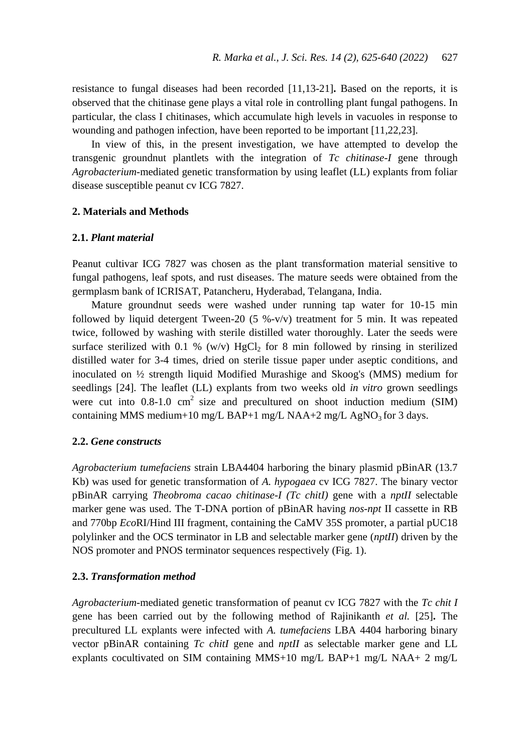resistance to fungal diseases had been recorded [11,13-21]**.** Based on the reports, it is observed that the chitinase gene plays a vital role in controlling plant fungal pathogens. In particular, the class I chitinases, which accumulate high levels in vacuoles in response to wounding and pathogen infection, have been reported to be important [11,22,23].

In view of this, in the present investigation, we have attempted to develop the transgenic groundnut plantlets with the integration of *Tc chitinase-I* gene through *Agrobacterium*-mediated genetic transformation by using leaflet (LL) explants from foliar disease susceptible peanut cv ICG 7827.

#### **2. Materials and Methods**

#### **2.1.** *Plant material*

Peanut cultivar ICG 7827 was chosen as the plant transformation material sensitive to fungal pathogens, leaf spots, and rust diseases. The mature seeds were obtained from the germplasm bank of ICRISAT, Patancheru, Hyderabad, Telangana, India.

Mature groundnut seeds were washed under running tap water for 10-15 min followed by liquid detergent Tween-20 (5 %-v/v) treatment for 5 min. It was repeated twice, followed by washing with sterile distilled water thoroughly. Later the seeds were surface sterilized with 0.1 %  $(w/v)$  HgCl<sub>2</sub> for 8 min followed by rinsing in sterilized distilled water for 3-4 times, dried on sterile tissue paper under aseptic conditions, and inoculated on ½ strength liquid Modified Murashige and Skoog's (MMS) medium for seedlings [24]. The leaflet (LL) explants from two weeks old *in vitro* grown seedlings were cut into  $0.8-1.0$  cm<sup>2</sup> size and precultured on shoot induction medium (SIM) containing MMS medium+10 mg/L BAP+1 mg/L NAA+2 mg/L AgNO<sub>3</sub> for 3 days.

## **2.2.** *Gene constructs*

*Agrobacterium tumefaciens* strain LBA4404 harboring the binary plasmid pBinAR (13.7 Kb) was used for genetic transformation of *A. hypogaea* cv ICG 7827. The binary vector pBinAR carrying *Theobroma cacao chitinase-I (Tc chitI)* gene with a *nptII* selectable marker gene was used. The T-DNA portion of pBinAR having *nos*-*npt* II cassette in RB and 770bp *Eco*RI/Hind III fragment, containing the CaMV 35S promoter, a partial pUC18 polylinker and the OCS terminator in LB and selectable marker gene (*nptII*) driven by the NOS promoter and PNOS terminator sequences respectively (Fig. 1).

#### **2.3.** *Transformation method*

*Agrobacterium*-mediated genetic transformation of peanut cv ICG 7827 with the *Tc chit I* gene has been carried out by the following method of Rajinikanth *et al.* [25]**.** The precultured LL explants were infected with *A. tumefaciens* LBA 4404 harboring binary vector pBinAR containing *Tc chitI* gene and *nptII* as selectable marker gene and LL explants cocultivated on SIM containing MMS+10 mg/L BAP+1 mg/L NAA+ 2 mg/L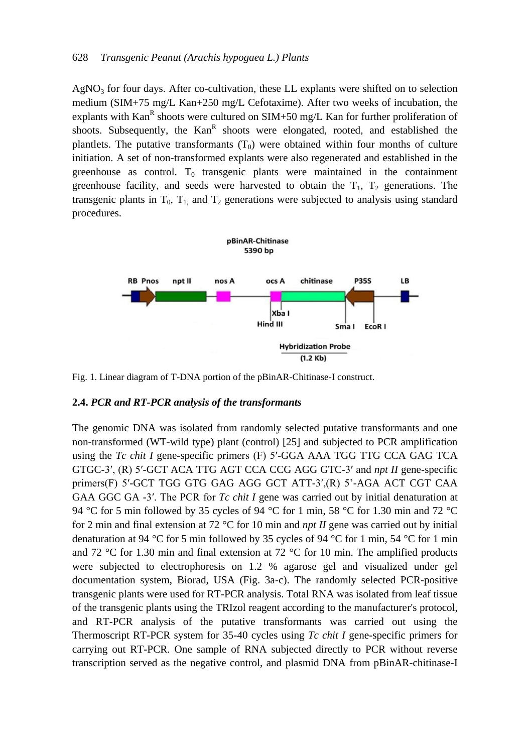$AgNO<sub>3</sub>$  for four days. After co-cultivation, these LL explants were shifted on to selection medium (SIM+75 mg/L Kan+250 mg/L Cefotaxime). After two weeks of incubation, the explants with Kan<sup>R</sup> shoots were cultured on SIM+50 mg/L Kan for further proliferation of shoots. Subsequently, the Kan<sup>R</sup> shoots were elongated, rooted, and established the plantlets. The putative transformants  $(T_0)$  were obtained within four months of culture initiation. A set of non-transformed explants were also regenerated and established in the greenhouse as control.  $T_0$  transgenic plants were maintained in the containment greenhouse facility, and seeds were harvested to obtain the  $T_1$ ,  $T_2$  generations. The transgenic plants in  $T_0$ ,  $T_1$ , and  $T_2$  generations were subjected to analysis using standard procedures.



Fig. 1. Linear diagram of T-DNA portion of the pBinAR-Chitinase-I construct.

#### **2.4.** *PCR and RT-PCR analysis of the transformants*

The genomic DNA was isolated from randomly selected putative transformants and one non-transformed (WT-wild type) plant (control) [25] and subjected to PCR amplification using the *Tc chit I* gene-specific primers (F) 5′-GGA AAA TGG TTG CCA GAG TCA GTGC-3′, (R) 5′-GCT ACA TTG AGT CCA CCG AGG GTC-3′ and *npt II* gene-specific primers(F) 5′-GCT TGG GTG GAG AGG GCT ATT-3′,(R) 5'-AGA ACT CGT CAA GAA GGC GA -3′. The PCR for *Tc chit I* gene was carried out by initial denaturation at 94 °C for 5 min followed by 35 cycles of 94 °C for 1 min, 58 °C for 1.30 min and 72 °C for 2 min and final extension at 72 °C for 10 min and *npt II* gene was carried out by initial denaturation at 94 °C for 5 min followed by 35 cycles of 94 °C for 1 min, 54 °C for 1 min and 72 °C for 1.30 min and final extension at 72 °C for 10 min. The amplified products were subjected to electrophoresis on 1.2 % agarose gel and visualized under gel documentation system, Biorad, USA (Fig. 3a-c). The randomly selected PCR-positive transgenic plants were used for RT-PCR analysis. Total RNA was isolated from leaf tissue of the transgenic plants using the TRIzol reagent according to the manufacturer's protocol, and RT-PCR analysis of the putative transformants was carried out using the Thermoscript RT-PCR system for 35-40 cycles using *Tc chit I* gene-specific primers for carrying out RT-PCR. One sample of RNA subjected directly to PCR without reverse transcription served as the negative control, and plasmid DNA from pBinAR-chitinase-I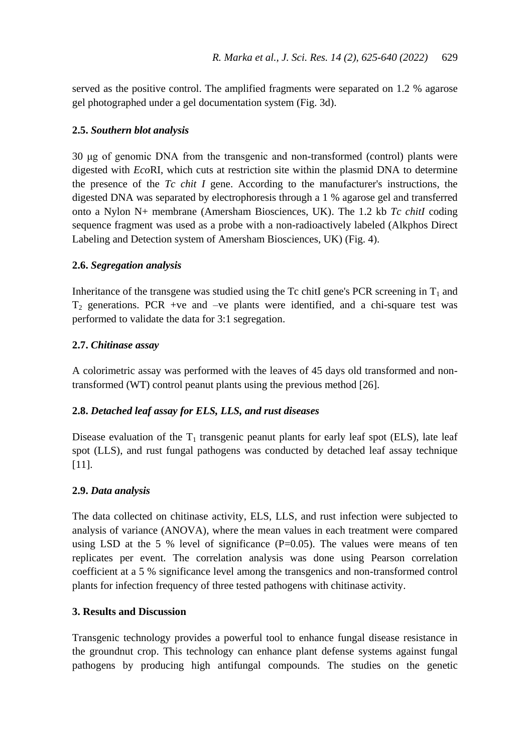served as the positive control. The amplified fragments were separated on 1.2 % agarose gel photographed under a gel documentation system (Fig. 3d).

## **2.5.** *Southern blot analysis*

30 μg of genomic DNA from the transgenic and non-transformed (control) plants were digested with *Eco*RI, which cuts at restriction site within the plasmid DNA to determine the presence of the *Tc chit I* gene. According to the manufacturer's instructions, the digested DNA was separated by electrophoresis through a 1 % agarose gel and transferred onto a Nylon N+ membrane (Amersham Biosciences, UK). The 1.2 kb *Tc chitI* coding sequence fragment was used as a probe with a non-radioactively labeled (Alkphos Direct Labeling and Detection system of Amersham Biosciences, UK) (Fig. 4).

## **2.6.** *Segregation analysis*

Inheritance of the transgene was studied using the Tc chitI gene's PCR screening in  $T_1$  and  $T_2$  generations. PCR +ve and  $-ve$  plants were identified, and a chi-square test was performed to validate the data for 3:1 segregation.

## **2.7.** *Chitinase assay*

A colorimetric assay was performed with the leaves of 45 days old transformed and nontransformed (WT) control peanut plants using the previous method [26].

## **2.8.** *Detached leaf assay for ELS, LLS, and rust diseases*

Disease evaluation of the  $T_1$  transgenic peanut plants for early leaf spot (ELS), late leaf spot (LLS), and rust fungal pathogens was conducted by detached leaf assay technique [11].

## **2.9.** *Data analysis*

The data collected on chitinase activity, ELS, LLS, and rust infection were subjected to analysis of variance (ANOVA), where the mean values in each treatment were compared using LSD at the 5 % level of significance  $(P=0.05)$ . The values were means of ten replicates per event. The correlation analysis was done using Pearson correlation coefficient at a 5 % significance level among the transgenics and non-transformed control plants for infection frequency of three tested pathogens with chitinase activity.

## **3. Results and Discussion**

Transgenic technology provides a powerful tool to enhance fungal disease resistance in the groundnut crop. This technology can enhance plant defense systems against fungal pathogens by producing high antifungal compounds. The studies on the genetic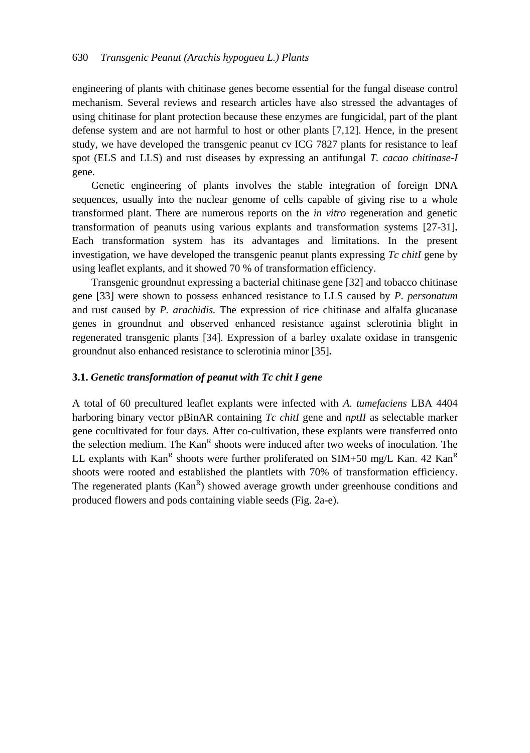engineering of plants with chitinase genes become essential for the fungal disease control mechanism. Several reviews and research articles have also stressed the advantages of using chitinase for plant protection because these enzymes are fungicidal, part of the plant defense system and are not harmful to host or other plants [7,12]. Hence, in the present study, we have developed the transgenic peanut cv ICG 7827 plants for resistance to leaf spot (ELS and LLS) and rust diseases by expressing an antifungal *T. cacao chitinase-I* gene.

Genetic engineering of plants involves the stable integration of foreign DNA sequences, usually into the nuclear genome of cells capable of giving rise to a whole transformed plant. There are numerous reports on the *in vitro* regeneration and genetic transformation of peanuts using various explants and transformation systems [27-31]**.** Each transformation system has its advantages and limitations. In the present investigation, we have developed the transgenic peanut plants expressing *Tc chitI* gene by using leaflet explants, and it showed 70 % of transformation efficiency.

Transgenic groundnut expressing a bacterial chitinase gene [32] and tobacco chitinase gene [33] were shown to possess enhanced resistance to LLS caused by *P. personatum*  and rust caused by *P. arachidis.* The expression of rice chitinase and alfalfa glucanase genes in groundnut and observed enhanced resistance against sclerotinia blight in regenerated transgenic plants [34]. Expression of a barley oxalate oxidase in transgenic groundnut also enhanced resistance to sclerotinia minor [35]**.**

#### **3.1.** *Genetic transformation of peanut with Tc chit I gene*

A total of 60 precultured leaflet explants were infected with *A. tumefaciens* LBA 4404 harboring binary vector pBinAR containing *Tc chitI* gene and *nptII* as selectable marker gene cocultivated for four days. After co-cultivation, these explants were transferred onto the selection medium. The Kan<sup>R</sup> shoots were induced after two weeks of inoculation. The LL explants with Kan<sup>R</sup> shoots were further proliferated on SIM+50 mg/L Kan. 42 Kan<sup>R</sup> shoots were rooted and established the plantlets with 70% of transformation efficiency. The regenerated plants  $(Kan<sup>R</sup>)$  showed average growth under greenhouse conditions and produced flowers and pods containing viable seeds (Fig. 2a-e).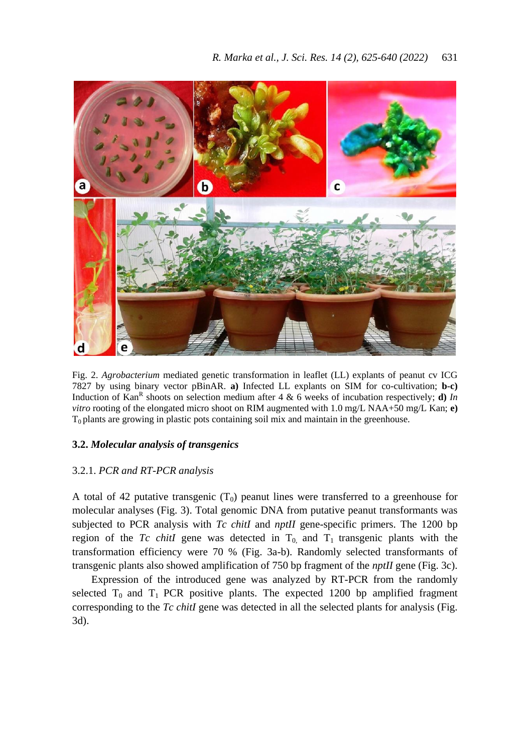

Fig. 2. *Agrobacterium* mediated genetic transformation in leaflet (LL) explants of peanut cv ICG 7827 by using binary vector pBinAR. **a)** Infected LL explants on SIM for co-cultivation; **b-c)** Induction of Kan<sup>R</sup> shoots on selection medium after 4 & 6 weeks of incubation respectively; **d**) *In vitro* rooting of the elongated micro shoot on RIM augmented with 1.0 mg/L NAA+50 mg/L Kan; **e)**  $T_0$  plants are growing in plastic pots containing soil mix and maintain in the greenhouse.

### **3.2.** *Molecular analysis of transgenics*

## 3.2.1. *PCR and RT-PCR analysis*

A total of 42 putative transgenic  $(T_0)$  peanut lines were transferred to a greenhouse for molecular analyses (Fig. 3). Total genomic DNA from putative peanut transformants was subjected to PCR analysis with *Tc chitI* and *nptII* gene-specific primers. The 1200 bp region of the *Tc chitI* gene was detected in  $T_0$  and  $T_1$  transgenic plants with the transformation efficiency were 70 % (Fig. 3a-b). Randomly selected transformants of transgenic plants also showed amplification of 750 bp fragment of the *nptII* gene (Fig. 3c).

Expression of the introduced gene was analyzed by RT-PCR from the randomly selected  $T_0$  and  $T_1$  PCR positive plants. The expected 1200 bp amplified fragment corresponding to the *Tc chitI* gene was detected in all the selected plants for analysis (Fig. 3d).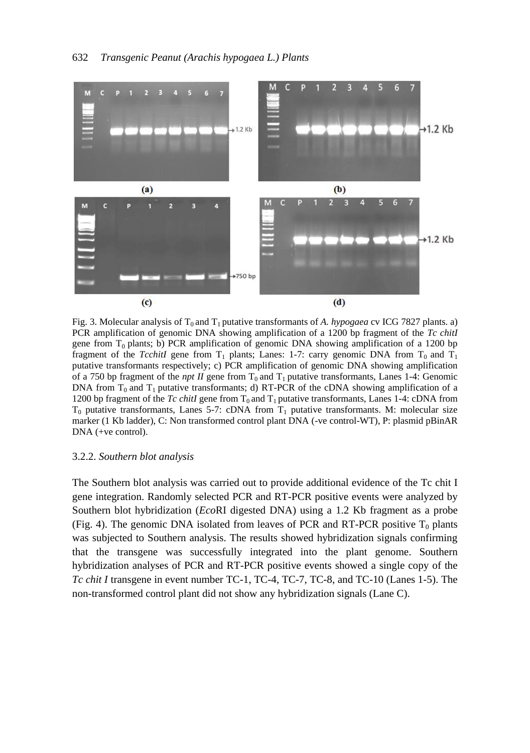

Fig. 3. Molecular analysis of  $T_0$  and  $T_1$  putative transformants of *A. hypogaea* cv ICG 7827 plants. a) PCR amplification of genomic DNA showing amplification of a 1200 bp fragment of the *Tc chitI* gene from  $T_0$  plants; b) PCR amplification of genomic DNA showing amplification of a 1200 bp fragment of the *TcchitI* gene from  $T_1$  plants; Lanes: 1-7: carry genomic DNA from  $T_0$  and  $T_1$ putative transformants respectively; c) PCR amplification of genomic DNA showing amplification of a 750 bp fragment of the *npt II* gene from  $T_0$  and  $T_1$  putative transformants, Lanes 1-4: Genomic DNA from  $T_0$  and  $T_1$  putative transformants; d) RT-PCR of the cDNA showing amplification of a 1200 bp fragment of the *Tc chitI* gene from  $T_0$  and  $T_1$  putative transformants, Lanes 1-4: cDNA from  $T_0$  putative transformants, Lanes 5-7: cDNA from  $T_1$  putative transformants. M: molecular size marker (1 Kb ladder), C: Non transformed control plant DNA (-ve control-WT), P: plasmid pBinAR DNA (+ve control).

#### 3.2.2. *Southern blot analysis*

The Southern blot analysis was carried out to provide additional evidence of the Tc chit I gene integration. Randomly selected PCR and RT-PCR positive events were analyzed by Southern blot hybridization (*Eco*RI digested DNA) using a 1.2 Kb fragment as a probe (Fig. 4). The genomic DNA isolated from leaves of PCR and RT-PCR positive  $T_0$  plants was subjected to Southern analysis. The results showed hybridization signals confirming that the transgene was successfully integrated into the plant genome. Southern hybridization analyses of PCR and RT-PCR positive events showed a single copy of the *Tc chit I* transgene in event number TC-1, TC-4, TC-7, TC-8, and TC-10 (Lanes 1-5). The non-transformed control plant did not show any hybridization signals (Lane C).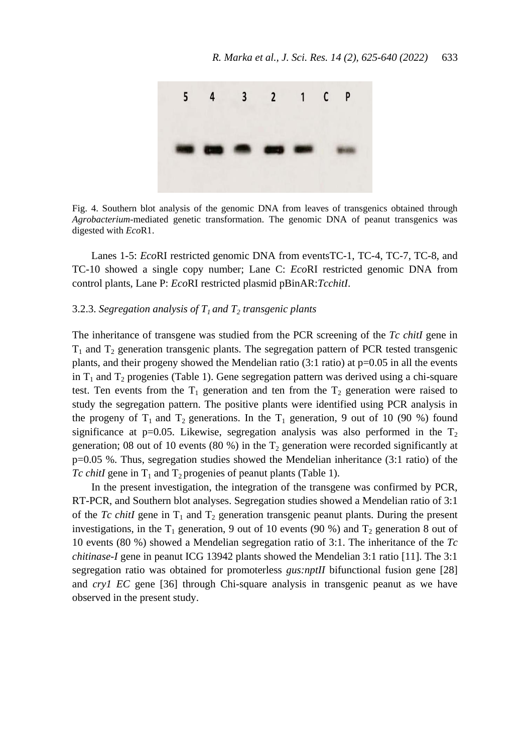

Fig. 4. Southern blot analysis of the genomic DNA from leaves of transgenics obtained through *Agrobacterium*-mediated genetic transformation. The genomic DNA of peanut transgenics was digested with *Eco*R1.

Lanes 1-5: *Eco*RI restricted genomic DNA from eventsTC-1, TC-4, TC-7, TC-8, and TC-10 showed a single copy number; Lane C: *Eco*RI restricted genomic DNA from control plants, Lane P: *Eco*RI restricted plasmid pBinAR:*TcchitI*.

#### 3.2.3. *Segregation analysis of T1 and T<sup>2</sup> transgenic plants*

The inheritance of transgene was studied from the PCR screening of the *Tc chitI* gene in  $T_1$  and  $T_2$  generation transgenic plants. The segregation pattern of PCR tested transgenic plants, and their progeny showed the Mendelian ratio  $(3:1 \text{ ratio})$  at p=0.05 in all the events in  $T_1$  and  $T_2$  progenies (Table 1). Gene segregation pattern was derived using a chi-square test. Ten events from the  $T_1$  generation and ten from the  $T_2$  generation were raised to study the segregation pattern. The positive plants were identified using PCR analysis in the progeny of  $T_1$  and  $T_2$  generations. In the  $T_1$  generation, 9 out of 10 (90 %) found significance at p=0.05. Likewise, segregation analysis was also performed in the  $T_2$ generation; 08 out of 10 events (80 %) in the  $T_2$  generation were recorded significantly at p=0.05 %. Thus, segregation studies showed the Mendelian inheritance (3:1 ratio) of the *Tc chitI* gene in  $T_1$  and  $T_2$  progenies of peanut plants (Table 1).

In the present investigation, the integration of the transgene was confirmed by PCR, RT-PCR, and Southern blot analyses. Segregation studies showed a Mendelian ratio of 3:1 of the *Tc chitI* gene in  $T_1$  and  $T_2$  generation transgenic peanut plants. During the present investigations, in the T<sub>1</sub> generation, 9 out of 10 events (90 %) and T<sub>2</sub> generation 8 out of 10 events (80 %) showed a Mendelian segregation ratio of 3:1. The inheritance of the *Tc chitinase-I* gene in peanut ICG 13942 plants showed the Mendelian 3:1 ratio [11]. The 3:1 segregation ratio was obtained for promoterless *gus:nptII* bifunctional fusion gene [28] and *cry1 EC* gene [36] through Chi-square analysis in transgenic peanut as we have observed in the present study.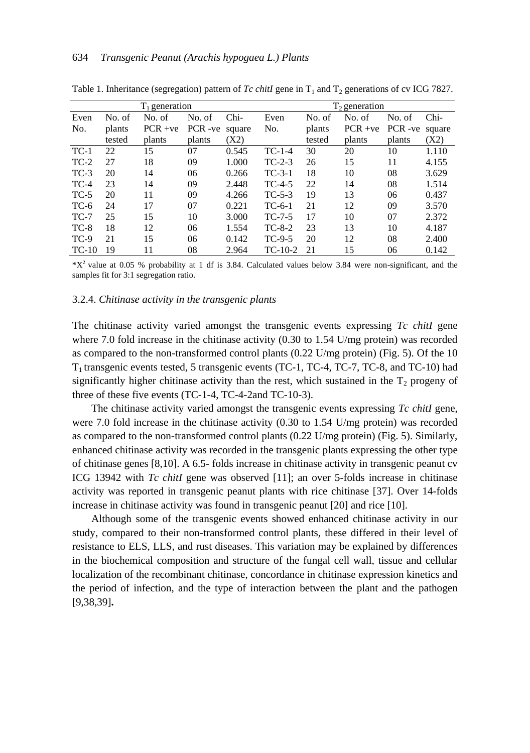|         |        | $T_1$ generation |                  |       | $T_2$ generation |        |           |        |        |  |  |  |  |
|---------|--------|------------------|------------------|-------|------------------|--------|-----------|--------|--------|--|--|--|--|
| Even    | No. of | No. of           | No. of           | Chi-  | Even             | No. of | No. of    | No. of | $Chi-$ |  |  |  |  |
| No.     | plants | $PCR +ve$        | PCR-ve<br>square |       | No.              | plants | $PCR +ve$ | PCR-ve | square |  |  |  |  |
|         | tested | plants           | plants           | (X2)  |                  | tested | plants    | plants | (X2)   |  |  |  |  |
| $TC-1$  | 22     | 15               | 07               | 0.545 | $TC-1-4$         | 30     | 20        | 10     | 1.110  |  |  |  |  |
| $TC-2$  | 27     | 18               | 09               | 1.000 | $TC-2-3$         | 26     | 15        | 11     | 4.155  |  |  |  |  |
| $TC-3$  | 20     | 14               | 06               | 0.266 | $TC-3-1$         | 18     | 10        | 08     | 3.629  |  |  |  |  |
| $TC-4$  | 23     | 14               | 09               | 2.448 | $TC-4-5$         | 22     | 14        | 08     | 1.514  |  |  |  |  |
| $TC-5$  | 20     | 11               | 09               | 4.266 | $TC-5-3$         | 19     | 13        | 06     | 0.437  |  |  |  |  |
| $TC-6$  | 24     | 17               | 07               | 0.221 | TC-6-1           | 21     | 12        | 09     | 3.570  |  |  |  |  |
| $TC-7$  | 25     | 15               | 10               | 3.000 | $TC-7-5$         | 17     | 10        | 07     | 2.372  |  |  |  |  |
| $TC-8$  | 18     | 12               | 06               | 1.554 | $TC-8-2$         | 23     | 13        | 10     | 4.187  |  |  |  |  |
| $TC-9$  | 21     | 15               | 06               | 0.142 | $TC-9-5$         | 20     | 12        | 08     | 2.400  |  |  |  |  |
| $TC-10$ | 19     | 11               | 08               | 2.964 | $TC-10-2$        | 21     | 15        | 06     | 0.142  |  |  |  |  |

Table 1. Inheritance (segregation) pattern of *Tc chitI* gene in  $T_1$  and  $T_2$  generations of cv ICG 7827.

 $*X<sup>2</sup>$  value at 0.05 % probability at 1 df is 3.84. Calculated values below 3.84 were non-significant, and the samples fit for 3:1 segregation ratio.

#### 3.2.4. *Chitinase activity in the transgenic plants*

The chitinase activity varied amongst the transgenic events expressing *Tc chitI* gene where 7.0 fold increase in the chitinase activity (0.30 to 1.54 U/mg protein) was recorded as compared to the non-transformed control plants (0.22 U/mg protein) (Fig. 5). Of the 10 T1 transgenic events tested, 5 transgenic events (TC-1, TC-4, TC-7, TC-8, and TC-10) had significantly higher chitinase activity than the rest, which sustained in the  $T_2$  progeny of three of these five events (TC-1-4, TC-4-2and TC-10-3).

The chitinase activity varied amongst the transgenic events expressing *Tc chitI* gene, were 7.0 fold increase in the chitinase activity (0.30 to 1.54 U/mg protein) was recorded as compared to the non-transformed control plants (0.22 U/mg protein) (Fig. 5). Similarly, enhanced chitinase activity was recorded in the transgenic plants expressing the other type of chitinase genes [8,10]. A 6.5- folds increase in chitinase activity in transgenic peanut cv ICG 13942 with *Tc chitI* gene was observed [11]; an over 5-folds increase in chitinase activity was reported in transgenic peanut plants with rice chitinase [37]. Over 14-folds increase in chitinase activity was found in transgenic peanut [20] and rice [10].

Although some of the transgenic events showed enhanced chitinase activity in our study, compared to their non-transformed control plants, these differed in their level of resistance to ELS, LLS, and rust diseases. This variation may be explained by differences in the biochemical composition and structure of the fungal cell wall, tissue and cellular localization of the recombinant chitinase, concordance in chitinase expression kinetics and the period of infection, and the type of interaction between the plant and the pathogen [9,38,39]**.**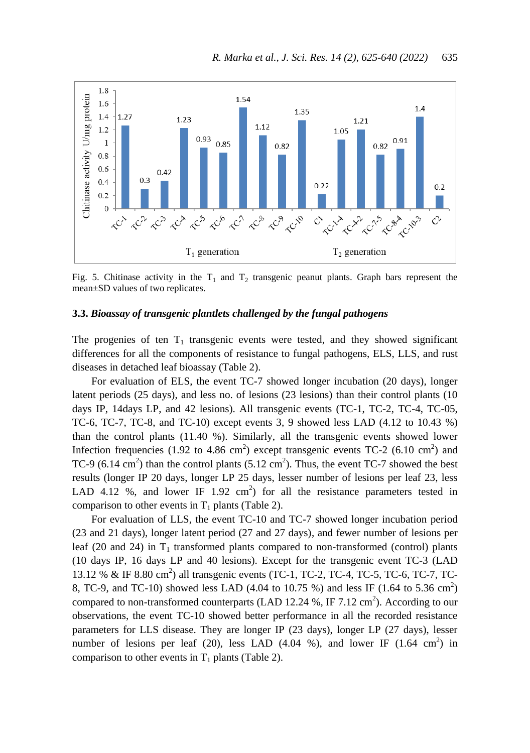

Fig. 5. Chitinase activity in the  $T_1$  and  $T_2$  transgenic peanut plants. Graph bars represent the mean±SD values of two replicates.

### **3.3.** *Bioassay of transgenic plantlets challenged by the fungal pathogens*

The progenies of ten  $T_1$  transgenic events were tested, and they showed significant differences for all the components of resistance to fungal pathogens, ELS, LLS, and rust diseases in detached leaf bioassay (Table 2).

For evaluation of ELS, the event TC-7 showed longer incubation (20 days), longer latent periods (25 days), and less no. of lesions (23 lesions) than their control plants (10 days IP, 14days LP, and 42 lesions). All transgenic events (TC-1, TC-2, TC-4, TC-05, TC-6, TC-7, TC-8, and TC-10) except events 3, 9 showed less LAD (4.12 to 10.43 %) than the control plants (11.40 %). Similarly, all the transgenic events showed lower Infection frequencies (1.92 to 4.86 cm<sup>2</sup>) except transgenic events  $TC-2$  (6.10 cm<sup>2</sup>) and TC-9  $(6.14 \text{ cm}^2)$  than the control plants  $(5.12 \text{ cm}^2)$ . Thus, the event TC-7 showed the best results (longer IP 20 days, longer LP 25 days, lesser number of lesions per leaf 23, less LAD 4.12 %, and lower IF 1.92 cm<sup>2</sup>) for all the resistance parameters tested in comparison to other events in  $T_1$  plants (Table 2).

For evaluation of LLS, the event TC-10 and TC-7 showed longer incubation period (23 and 21 days), longer latent period (27 and 27 days), and fewer number of lesions per leaf (20 and 24) in  $T_1$  transformed plants compared to non-transformed (control) plants (10 days IP, 16 days LP and 40 lesions). Except for the transgenic event TC-3 (LAD 13.12 % & IF 8.80 cm<sup>2</sup>) all transgenic events (TC-1, TC-2, TC-4, TC-5, TC-6, TC-7, TC-8, TC-9, and TC-10) showed less LAD (4.04 to 10.75 %) and less IF (1.64 to 5.36 cm<sup>2</sup>) compared to non-transformed counterparts (LAD 12.24 %, IF 7.12  $\text{cm}^2$ ). According to our observations, the event TC-10 showed better performance in all the recorded resistance parameters for LLS disease. They are longer IP (23 days), longer LP (27 days), lesser number of lesions per leaf (20), less LAD (4.04 %), and lower IF (1.64 cm<sup>2</sup>) in comparison to other events in  $T_1$  plants (Table 2).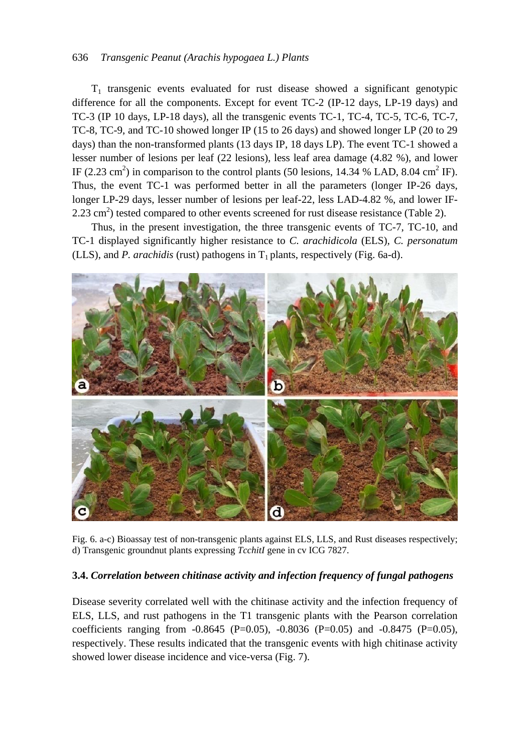#### 636 *Transgenic Peanut (Arachis hypogaea L.) Plants*

 $T_1$  transgenic events evaluated for rust disease showed a significant genotypic difference for all the components. Except for event TC-2 (IP-12 days, LP-19 days) and TC-3 (IP 10 days, LP-18 days), all the transgenic events TC-1, TC-4, TC-5, TC-6, TC-7, TC-8, TC-9, and TC-10 showed longer IP (15 to 26 days) and showed longer LP (20 to 29 days) than the non-transformed plants (13 days IP, 18 days LP). The event TC-1 showed a lesser number of lesions per leaf (22 lesions), less leaf area damage (4.82 %), and lower IF (2.23 cm<sup>2</sup>) in comparison to the control plants (50 lesions, 14.34 % LAD, 8.04 cm<sup>2</sup> IF). Thus, the event TC-1 was performed better in all the parameters (longer IP-26 days, longer LP-29 days, lesser number of lesions per leaf-22, less LAD-4.82 %, and lower IF- $2.23 \text{ cm}^2$ ) tested compared to other events screened for rust disease resistance (Table 2).

Thus, in the present investigation, the three transgenic events of TC-7, TC-10, and TC-1 displayed significantly higher resistance to *C. arachidicola* (ELS)*, C. personatum* (LLS), and *P. arachidis* (rust) pathogens in  $T_1$  plants, respectively (Fig. 6a-d).



Fig. 6. a-c) Bioassay test of non-transgenic plants against ELS, LLS, and Rust diseases respectively; d) Transgenic groundnut plants expressing *TcchitI* gene in cv ICG 7827.

### **3.4.** *Correlation between chitinase activity and infection frequency of fungal pathogens*

Disease severity correlated well with the chitinase activity and the infection frequency of ELS, LLS, and rust pathogens in the T1 transgenic plants with the Pearson correlation coefficients ranging from -0.8645 (P=0.05), -0.8036 (P=0.05) and -0.8475 (P=0.05), respectively. These results indicated that the transgenic events with high chitinase activity showed lower disease incidence and vice-versa (Fig. 7).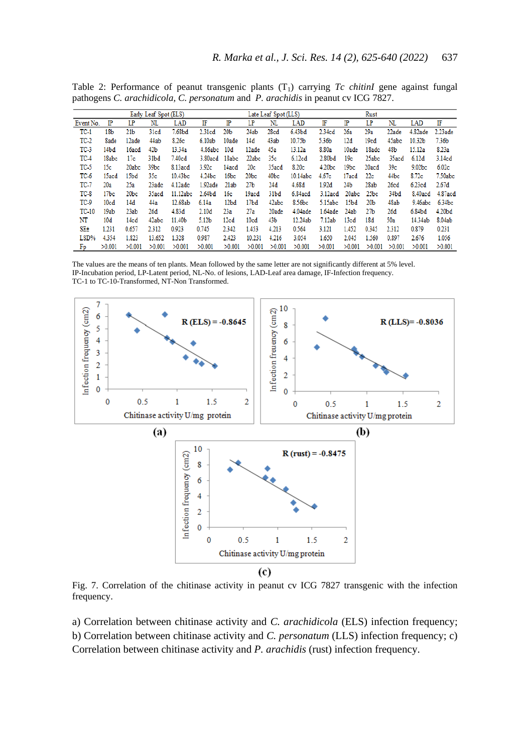5.36b

8.80a

 $2.80<sub>b</sub>$ d

4.20bc

 $4.67c$ 

 $12d$ 

 $10ade$ 

 $19<sub>c</sub>$ 

 $19<sub>bc</sub>$ 

17acd  $22c$ 

 $19cd$ 

18adc  $48<sub>b</sub>$ 

 $25abc$ 

20acd  $39<sub>c</sub>$ 

45abc

35acd  $6.12d$ 

44bc

10.32b

 $15.12a$ 

9.02bc

8.72c

 $7.36<sub>b</sub>$ 

 $8.23a$ 

3.14cd

 $6.02c$ 

 $7.50abc$ 

| Twere an I exterminities of peaning attractive prairie (1) carrying to children spainter ranged<br>pathogens C. arachidicola, C. personatum and P. arachidis in peanut cv ICG 7827. |  |         |    |                        |  |           |                      |     |                                 |     |  |           |  |                       |  |
|-------------------------------------------------------------------------------------------------------------------------------------------------------------------------------------|--|---------|----|------------------------|--|-----------|----------------------|-----|---------------------------------|-----|--|-----------|--|-----------------------|--|
| Early Leaf Spot (ELS)                                                                                                                                                               |  |         |    |                        |  |           | Late Leaf Spot (LLS) |     |                                 |     |  | Rust      |  |                       |  |
| Event No. IP                                                                                                                                                                        |  |         | NL | LAD.                   |  | <b>IP</b> |                      | NL. | LAD                             | IF. |  | <b>IP</b> |  | LAD.                  |  |
| TC-1                                                                                                                                                                                |  | 18b 21b |    | 31cd 7.68bd 2.31cd 20b |  |           |                      |     | 24ab 28cd 6.43bd 2.34cd 26a 29a |     |  |           |  | 22ade 4.82ade 2.23ade |  |

 $12ade$  $45a$ 

 $22abc$  $35c$ 

 $43ab$ 

35acd

40<sub>bc</sub>

10.75b

13.12a

 $6.12cd$ 

8.20c

10.14abc

 $TC-2$ 

 $TC-3$ 

 $TC-4$ 

 $TC-5$ 

 $TC-6$ 

**8ade** 

14bd

18abc

15acd  $15bd$ 

 $15<sub>c</sub>$ 

12ade

16acd  $42<sub>b</sub>$ 

20abc 39bc

 $17<sub>c</sub>$ 

44ab

 $31<sub>bd</sub>$ 

 $35<sub>c</sub>$ 

8.26c

13.34a

7.40cd

8.13acd

10.43bc

 $6.10ab$ 

3.80acd 18abc

3.92c

 $4.24bc$ 

4.86abc 10d

10ade  $14d$ 

14acd  $20<sub>c</sub>$ 

 $16bc$  $20<sub>bc</sub>$ 

Table 2: Performance of peanut transgenic plants (T<sub>1</sub>) carrying *T<sub>c</sub> chitinI* gene against fungal

| TC-7    | 20a                                                                                                                  | 25а              |        | $23a$ dc $4.12a$ dc | 1.92ade 21ab |                  | 27Ь              | 24d              | 4.68d      | 1.92d              | 24Ь    | 28ab              | 26cd             | 6.23cd  | 2.67d           |
|---------|----------------------------------------------------------------------------------------------------------------------|------------------|--------|---------------------|--------------|------------------|------------------|------------------|------------|--------------------|--------|-------------------|------------------|---------|-----------------|
| TC-8    | 17 <sub>bc</sub>                                                                                                     | 20 <sub>bc</sub> | 35acd  | 11.12abc 2.64bd     |              | 16c              | 19acd            | 31 <sub>bd</sub> | $6.84$ acd | 3.12acd 20abc 25bc |        |                   | 34 <sub>bd</sub> |         | 8.40acd 4.87acd |
| $TC-9$  | 10cd                                                                                                                 | 14d              | 44a    | 12.68ab             | 6.14a        | 12 <sub>bd</sub> | 17 <sub>bd</sub> | 42abc            | 8.56bc     | 5.15abc 15bd       |        | 20 <sub>b</sub>   | 48ab             |         | 9.46abc 6.34bc  |
| TC-10   | 19ab                                                                                                                 | 23ab             | 26d    | 4.83d               | 2.10d        | 23a              | 27a              | 20ade            | 4.04ade    | 1.64ade 24ab       |        | 27Ь               | 26d              | 6.84bd  | 4.20bd          |
| NT      | 10d                                                                                                                  | 14cd             | 42abc  | 11.40b              | 5.12b        | 12cd             | 10cd             | 43b              | 12.24ab    | 7.12ab             | 13cd   | 18d               | 50a              | 14.34ab | 8.04ab          |
| $SE+$   | 1.231                                                                                                                | 0.657            | 2.312  | 0.923               | 0.745        | 2.342            | 1.453            | 4.213            | 0.564      | 3.121              | 1.452  | 0.345             | 2.312            | 0.879   | 0.231           |
| $LSD\%$ | 4.354                                                                                                                | 1.823            | 13.652 | 1.328               | 0.987        | 2.423            | 10.231           | 4.216            | 3.054      | 1.650              | 2.045  | 1.560             | 0.897            | 2.676   | 1.056           |
| Fp      | >0.001                                                                                                               | >0.001           | >0.001 | >0.001              | >0.001       | >0.001           | >0.001           | >0.001           | >0.001     | >0.001             | >0.001 | $>0.001$ $>0.001$ |                  | >0.001  | >0.001          |
|         |                                                                                                                      |                  |        |                     |              |                  |                  |                  |            |                    |        |                   |                  |         |                 |
|         | The values are the means of ten plants. Mean followed by the same letter are not significantly different at 5% level |                  |        |                     |              |                  |                  |                  |            |                    |        |                   |                  |         |                 |

The values are the means of ten plants. Mean followed by the same letter are not significantly different at 5% level. IP-Incubation period, LP-Latent period, NL-No. of lesions, LAD-Leaf area damage, IF-Infection frequency. TC-1 to TC-10-Transformed, NT-Non Transformed.



Fig. 7. Correlation of the chitinase activity in peanut cv ICG 7827 transgenic with the infection frequency.

a) Correlation between chitinase activity and *C. arachidicola* (ELS) infection frequency; b) Correlation between chitinase activity and *C. personatum* (LLS) infection frequency; c) Correlation between chitinase activity and *P. arachidis* (rust) infection frequency.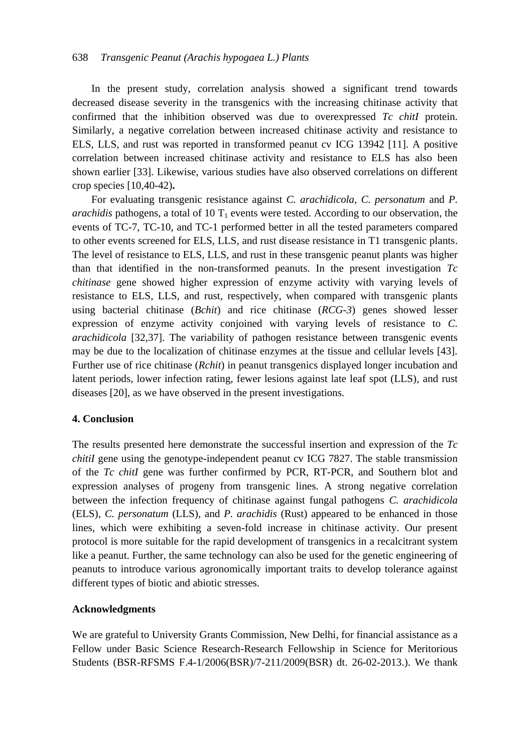In the present study, correlation analysis showed a significant trend towards decreased disease severity in the transgenics with the increasing chitinase activity that confirmed that the inhibition observed was due to overexpressed *Tc chitI* protein. Similarly, a negative correlation between increased chitinase activity and resistance to ELS, LLS, and rust was reported in transformed peanut cv ICG 13942 [11]. A positive correlation between increased chitinase activity and resistance to ELS has also been shown earlier [33]. Likewise, various studies have also observed correlations on different crop species [10,40-42)**.**

For evaluating transgenic resistance against *C. arachidicola, C. personatum* and *P. arachidis* pathogens, a total of 10  $T_1$  events were tested. According to our observation, the events of TC-7, TC-10, and TC-1 performed better in all the tested parameters compared to other events screened for ELS, LLS, and rust disease resistance in T1 transgenic plants. The level of resistance to ELS, LLS, and rust in these transgenic peanut plants was higher than that identified in the non-transformed peanuts. In the present investigation *Tc chitinase* gene showed higher expression of enzyme activity with varying levels of resistance to ELS, LLS, and rust, respectively, when compared with transgenic plants using bacterial chitinase (*Bchit*) and rice chitinase (*RCG-3*) genes showed lesser expression of enzyme activity conjoined with varying levels of resistance to *C. arachidicola* [32,37]. The variability of pathogen resistance between transgenic events may be due to the localization of chitinase enzymes at the tissue and cellular levels [43]. Further use of rice chitinase (*Rchit*) in peanut transgenics displayed longer incubation and latent periods, lower infection rating, fewer lesions against late leaf spot (LLS), and rust diseases [20], as we have observed in the present investigations.

#### **4. Conclusion**

The results presented here demonstrate the successful insertion and expression of the *Tc chitiI* gene using the genotype-independent peanut cv ICG 7827. The stable transmission of the *Tc chitI* gene was further confirmed by PCR, RT-PCR, and Southern blot and expression analyses of progeny from transgenic lines. A strong negative correlation between the infection frequency of chitinase against fungal pathogens *C. arachidicola*  (ELS), *C. personatum* (LLS), and *P. arachidis* (Rust) appeared to be enhanced in those lines, which were exhibiting a seven-fold increase in chitinase activity. Our present protocol is more suitable for the rapid development of transgenics in a recalcitrant system like a peanut. Further, the same technology can also be used for the genetic engineering of peanuts to introduce various agronomically important traits to develop tolerance against different types of biotic and abiotic stresses.

#### **Acknowledgments**

We are grateful to University Grants Commission, New Delhi, for financial assistance as a Fellow under Basic Science Research-Research Fellowship in Science for Meritorious Students (BSR-RFSMS F.4-1/2006(BSR)/7-211/2009(BSR) dt. 26-02-2013.). We thank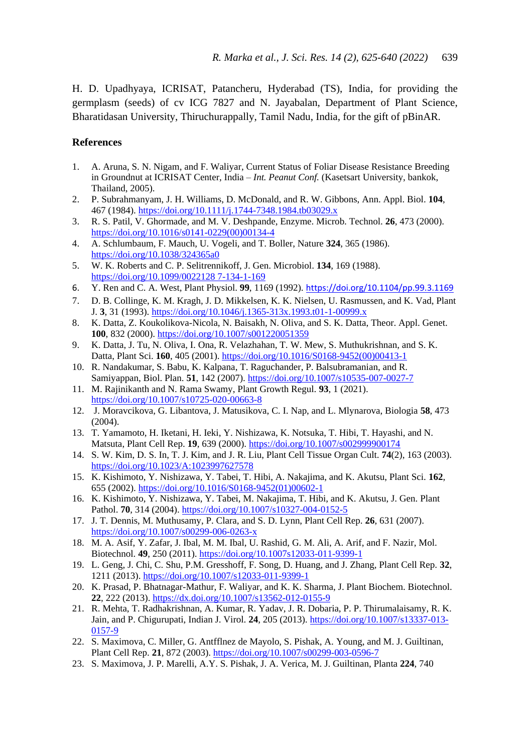H. D. Upadhyaya, ICRISAT, Patancheru, Hyderabad (TS), India, for providing the germplasm (seeds) of cv ICG 7827 and N. Jayabalan, Department of Plant Science, Bharatidasan University, Thiruchurappally, Tamil Nadu, India, for the gift of pBinAR.

### **References**

- 1. A. Aruna, S. N. Nigam, and F. Waliyar, Current Status of Foliar Disease Resistance Breeding in Groundnut at ICRISAT Center, India – *Int. Peanut Conf.* (Kasetsart University, bankok, Thailand, 2005).
- 2. P. Subrahmanyam, J. H. Williams, D. McDonald, and R. W. Gibbons, Ann. Appl. Biol. **104**, 467 (1984)[. https://doi.org/10.1111/j.1744-7348.1984.tb03029.x](https://doi.org/10.1111/j.1744-7348.1984.tb03029.x)
- 3. R. S. Patil, V. Ghormade, and M. V. Deshpande, Enzyme. Microb. Technol. **26**, 473 (2000). [https://doi.org/10.1016/s0141-0229\(00\)00134-4](https://doi.org/10.1016/s0141-0229(00)00134-4)
- 4. A. Schlumbaum, F. Mauch, U. Vogeli, and T. Boller, Nature **324**, 365 (1986). <https://doi.org/10.1038/324365a0>
- 5. W. K. Roberts and C. P. Selitrennikoff, J. Gen. Microbiol. **134**, 169 (1988). [https://doi.org/10.1099/0022128 7-134-1-169](https://doi.org/10.1099/0022128%207-134-1-169)
- 6. Y. Ren and C. A. West, Plant Physiol. **99**, 1169 (1992). <https://doi.org/10.1104/pp.99.3.1169>
- 7. D. B. Collinge, K. M. Kragh, J. D. Mikkelsen, K. K. Nielsen, U. Rasmussen, and K. Vad, Plant J. **3**, 31 (1993).<https://doi.org/10.1046/j.1365-313x.1993.t01-1-00999.x>
- 8. K. Datta, Z. Koukolikova-Nicola, N. Baisakh, N. Oliva, and S. K. Datta, Theor. Appl. Genet. **100**, 832 (2000)[. https://doi.org/10.1007/s001220051359](https://doi.org/10.1007/s001220051359)
- 9. K. Datta, J. Tu, N. Oliva, I. Ona, R. Velazhahan, T. W. Mew, S. Muthukrishnan, and S. K. Datta, Plant Sci. **160**, 405 (2001). [https://doi.org/10.1016/S0168-9452\(00\)00413-1](https://doi.org/10.1016/S0168-9452(00)00413-1)
- 10. R. Nandakumar, S. Babu, K. Kalpana, T. Raguchander, P. Balsubramanian, and R. Samiyappan, Biol. Plan. **51**, 142 (2007)[. https://doi.org/10.1007/s10535-007-0027-7](https://doi.org/10.1007/s10535-007-0027-7)
- 11. M. Rajinikanth and N. Rama Swamy, Plant Growth Regul. **93**, 1 (2021). <https://doi.org/10.1007/s10725-020-00663-8>
- 12. J. Moravcikova, G. Libantova, J. Matusikova, C. I. Nap, and L. Mlynarova, Biologia **58**, 473 (2004).
- 13. T. Yamamoto, H. Iketani, H. Ieki, Y. Nishizawa, K. Notsuka, T. Hibi, T. Hayashi, and N. Matsuta, Plant Cell Rep. **19**, 639 (2000)[. https://doi.org/10.1007/s002999900174](https://doi.org/10.1007/s002999900174)
- 14. S. W. Kim, D. S. In, T. J. Kim, and J. R. Liu, Plant Cell Tissue Organ Cult. **74**(2), 163 (2003). <https://doi.org/10.1023/A:1023997627578>
- 15. K. Kishimoto, Y. Nishizawa, Y. Tabei, T. Hibi, A. Nakajima, and K. Akutsu, Plant Sci. **162**, 655 (2002)[. https://doi.org/10.1016/S0168-9452\(01\)00602-1](https://doi.org/10.1016/S0168-9452(01)00602-1)
- 16. K. Kishimoto, Y. Nishizawa, Y. Tabei, M. Nakajima, T. Hibi, and K. Akutsu, J. Gen. Plant Pathol. **70**, 314 (2004)[. https://doi.org/10.1007/s10327-004-0152-5](https://doi.org/10.1007/s10327-004-0152-5)
- 17. J. T. Dennis, M. Muthusamy, P. Clara, and S. D. Lynn, Plant Cell Rep. **26**, 631 (2007). <https://doi.org/10.1007/s00299-006-0263-x>
- 18. M. A. Asif, Y. Zafar, J. Ibal, M. M. Ibal, U. Rashid, G. M. Ali, A. Arif, and F. Nazir, Mol. Biotechnol. **49**, 250 (2011).<https://doi.org/10.1007s12033-011-9399-1>
- 19. L. Geng, J. Chi, C. Shu, P.M. Gresshoff, F. Song, D. Huang, and J. Zhang, Plant Cell Rep. **32**, 1211 (2013).<https://doi.org/10.1007/s12033-011-9399-1>
- 20. K. Prasad, P. Bhatnagar-Mathur, F. Waliyar, and K. K. Sharma, J. Plant Biochem. Biotechnol. **22**, 222 (2013).<https://dx.doi.org/10.1007/s13562-012-0155-9>
- 21. R. Mehta, T. Radhakrishnan, A. Kumar, R. Yadav, J. R. Dobaria, P. P. Thirumalaisamy, R. K. Jain, and P. Chigurupati, Indian J. Virol. **24**, 205 (2013). [https://doi.org/10.1007/s13337-013-](https://doi.org/10.1007/s13337-013-0157-9) [0157-9](https://doi.org/10.1007/s13337-013-0157-9)
- 22. S. Maximova, C. Miller, G. Antfflnez de Mayolo, S. Pishak, A. Young, and M. J. Guiltinan, Plant Cell Rep. **21**, 872 (2003).<https://doi.org/10.1007/s00299-003-0596-7>
- 23. S. Maximova, J. P. Marelli, A.Y. S. Pishak, J. A. Verica, M. J. Guiltinan, Planta **224**, 740